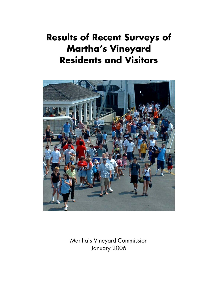# **Results of Recent Surveys of Martha's Vineyard Residents and Visitors**



Martha's Vineyard Commission January 2006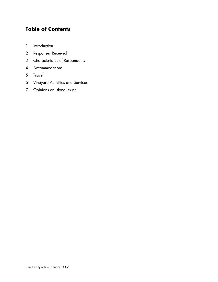# **Table of Contents**

- 1 Introduction
- 2 Responses Received
- 3 Characteristics of Respondents
- 4 Accommodations
- 5 Travel
- 6 Vineyard Activities and Services
- 7 Opinions on Island Issues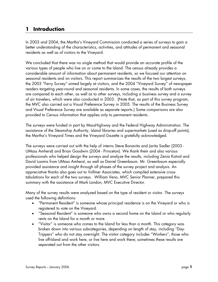# **1 Introduction**

In 2003 and 2004, the Martha's Vineyard Commission conducted a series of surveys to gain a better understanding of the characteristics, activities, and attitudes of permanent and seasonal residents as well as of visitors to the Vineyard.

We concluded that there was no single method that would provide an accurate profile of the various types of people who live on or come to the Island. The census already provides a considerable amount of information about permanent residents, so we focused our attention on seasonal residents and on visitors. This report summarizes the results of the two largest surveys, the 2003 "Ferry Survey" aimed largely at visitors, and the 2004 "Vineyard Survey" of newspaper readers targeting year-round and seasonal residents. In some cases, the results of both surveys are compared to each other, as well as to other surveys, including a business survey and a survey of air travelers, which were also conducted in 2003. (Note that, as part of this survey program, the MVC also carried out a Visual Preference Survey in 2005. The results of the Business Survey and Visual Preference Survey are available as separate reports.) Some comparisons are also provided to Census information that applies only to permanent residents.

The surveys were funded in part by MassHighway and the Federal Highway Administration. The assistance of the Steamship Authority, Island libraries and supermarkets (used as drop-off points), the Martha's Vineyard Times and the Vineyard Gazette is gratefully acknowledged.

The surveys were carried out with the help of interns Steve Bonavita and Jarita Sadler (2003 - UMass Amherst) and Brian Goodwin (2004 - Princeton). We thank them and also various professionals who helped design the surveys and analyze the results, including Zenia Kotval and David Loomis from UMass Amherst, as well as Daniel Greenbaum. Mr. Greenbaum especially provided assistance and insight through all phases of the survey project and analysis. An appreciative thanks also goes out to Vollmer Associates, which compiled extensive crosstabulations for each of the two surveys. William Veno, MVC Senior Planner, prepared this summary with the assistance of Mark London, MVC Executive Director.

Many of the survey results were analyzed based on the type of resident or visitor. The surveys used the following definitions:

- "Permanent Resident" is someone whose principal residence is on the Vineyard or who is registered to vote on the Vineyard.
- "Seasonal Resident" is someone who owns a second home on the Island or who regularly rents on the Island for a month or more.
- "Visitor" is someone who comes to the Island for less than a month. This category was broken down into various subcategories, depending on length of stay, including "Day-Trippers" who do not stay overnight. The visitor category includes "Workers", those who live off-Island and work here, or live here and work there; sometimes these results are separated out from the other visitors.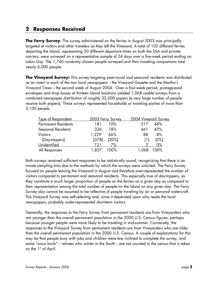# **2 Responses Received**

**The Ferry Survey**: The survey administered on the ferries in August 2003 was principally targeted at visitors and other travelers as they left the Vineyard. A total of 102 different ferries departing the Island, representing 30 different departure times on both the SSA and private carriers, were surveyed on a representative sample of 24 days over a five-week period ending on Labor Day. The 1,740 randomly chosen people surveyed and their traveling companions total nearly 6,000 people.

**The Vineyard Survey:** This survey targeting year-round and seasonal residents was distributed as an insert in each of the two local newspapers - the Vineyard Gazette and the Martha's Vineyard Times -- the second week of August 2004. Over a four-week period, postage-paid envelopes and drop boxes at thirteen Island locations yielded 1,068 usable surveys from a combined newspaper distribution of roughly 32,000 papers (a very large number of people receive both papers). These surveys represented households or traveling parties of more than 3,100 people.

| 2003 Ferry Survey | 2004 Vineyard Survey |
|-------------------|----------------------|
| 10%<br>181        | 48%<br>517           |
| 18%<br>326        | 43%<br>461           |
| 1,229<br>66%      | 8%<br>88             |
| [378]<br>[20%]    | $[0\%]$              |
| 7%<br>121         | 0%                   |
| 100%              | $00\%$               |
|                   |                      |

Both surveys received sufficient responses to be statistically sound, recognizing that there is an innate sampling bias due to the methods by which the surveys were solicited. The Ferry Survey focused on people leaving the Vineyard in August and therefore over-represented the number of visitors compared to permanent and seasonal residents. This especially true of day-trippers, as they constitute a much larger proportion of people on the ferries on a given day as compared to their representation among the total number of people on the Island on any given day. The Ferry Survey also cannot be assumed to be reflective of people traveling by air or personal watercraft. The Vineyard Survey was self-selecting and, since it depended upon who reads the local newspapers, probably under-represented short-term visitors.

Generally, the responses to the Ferry Survey from permanent residents are from Vineyarders who are younger than the overall permanent population in the 2000 U.S. Census figures, perhaps because younger people were more likely to be traveling in mid-summer. Conversely, the responses to the Vineyard Survey from permanent residents are from Vineyarders who are older than the overall permanent population in the 2000 U.S. Census. A couple of explanations for this may be that people busy with jobs and children were less inclined to complete the survey, and some "snow birds" -- retirees who winter in the South -- are not counted in the census that is taken on the 1<sup>st</sup> of April.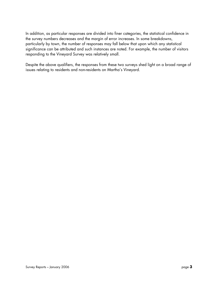In addition, as particular responses are divided into finer categories, the statistical confidence in the survey numbers decreases and the margin of error increases. In some breakdowns, particularly by town, the number of responses may fall below that upon which any statistical significance can be attributed and such instances are noted. For example, the number of visitors responding to the Vineyard Survey was relatively small.

Despite the above qualifiers, the responses from these two surveys shed light on a broad range of issues relating to residents and non-residents on Martha's Vineyard.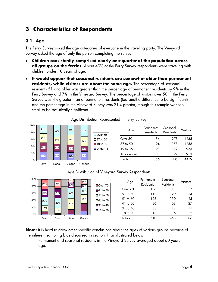# **3 Characteristics of Respondents**

# **3.1 Age**

The Ferry Survey asked the age categories of everyone in the traveling party. The Vineyard Survey asked the age of only the person completing the survey.

- **Children consistently comprised nearly one-quarter of the population across all groups on the ferries.** About 40% of the Ferry Survey respondents were traveling with children under 18 years of age.
- **It would appear that seasonal residents are somewhat older than permanent residents, while visitors are about the same age.** The percentage of seasonal residents 51 and older was greater than the percentage of permanent residents by 9% in the Ferry Survey and 7% in the Vineyard Survey. The percentage of visitors over 50 in the Ferry Survey was 4% greater than of permanent residents (too small a difference to be significant) and the percentage in the Vineyard Survey was 21% greater, though this sample was too small to be statistically significant.



## Age Distribution Represented in Ferry Survey

#### Age Distribution of Vineyard Survey Respondents

| 100%<br>27%<br>80% | 25%   | 8%<br>16% | 14%<br>10% | Over 70         | Age      | Permanent<br>Residents | Seasonal<br>Residents | <b>Visitors</b> |
|--------------------|-------|-----------|------------|-----------------|----------|------------------------|-----------------------|-----------------|
|                    |       |           | 18%        | ■61 to 70       | Over 70  | 136                    | 113                   | 7               |
| 22%<br>60%         | 28%   | 29%       |            | $\Box$ 51 to 60 | 61 to 70 | 112                    | 129                   | 14              |
| 40%<br>25%         |       |           | 25%        | $\Box$ 41 to 50 | 51 to 60 | 126                    | 130                   | 25              |
|                    | 28%   | 31%       |            | ■31 to 40       | 41 to 50 | 86                     | 68                    | 27              |
| 20%<br>17%         | 15%   |           |            | ■18 to 30       | 31 to 40 | 38                     | 12                    | 11              |
| 0%                 |       |           |            |                 | 18 to 30 | 12                     | Ô                     | 2               |
| Perm.              | Seas. | Visitor   | Census     |                 | Totals   | 510                    | 458                   | 86              |

**Note:** it is hard to draw other specific conclusions about the ages of various groups because of the inherent sampling bias discussed in section 1, as illustrated below.

Permanent and seasonal residents in the Vineyard Survey averaged about 60 years in age.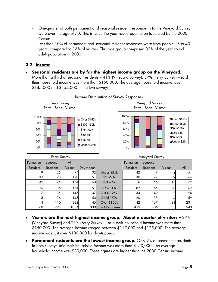- One-quarter of both permanent and seasonal resident respondents to the Vineyard Survey were over the age of 70. This is twice the year round population tabulated by the 2000 Census.
- Less than 10% of permanent and seasonal resident responses were from people 18 to 40 years, compared to 16% of visitors. This age group comprised 33% of the year round adult population in 2000.

#### **3.2 Income**

• **Seasonal residents are by far the highest income group on the Vineyard.**  More than a third of seasonal residents – 41% (Vineyard Survey); 37% (Ferry Survey) -- said their household income was more than \$150,000. The average household income was \$145,000 and \$154,000 in the two surveys.



Income Distribution of Survey Responses

- **Visitors are the next highest income group. About a quarter of visitors** 27% (Vineyard Survey) and 21% (Ferry Survey) - said their household income was more than \$150,000. The average income ranged between \$117,000 and \$125,000. The average income was just over \$100,000 for day-trippers.
- **Permanent residents are the lowest income group.** Only 9% of permanent residents in both surveys said their household income was more than \$150,000. The average household income was \$80,000. These figures are higher than the 2000 Census income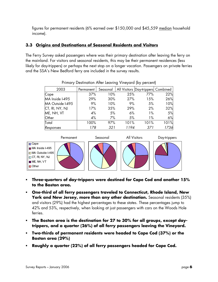figures for permanent residents (6% earned over \$150,000 and \$45,559 median household income).

# **3.3 Origins and Destinations of Seasonal Residents and Visitors**

The Ferry Survey asked passengers where was their primary destination after leaving the ferry on the mainland. For visitors and seasonal residents, this may be their permanent residences (less likely for day-trippers) or perhaps the next stop on a longer vacation. Passengers on private ferries and the SSA's New Bedford ferry are included in the survey results.

| 2003             | Permanent | Seasonal |      | All Visitors Day-trippers Combined |      |
|------------------|-----------|----------|------|------------------------------------|------|
| Cape             | 37%       | 10%      | 25%  | 77%                                | 22%  |
| MA Inside I-495  | 29%       | 30%      | 27%  | 15%                                | 26%  |
| MA Outside I-495 | 9%        | 10%      | 9%   | 5%                                 | 10%  |
| CT, RI, NY, NJ   | 17%       | 35%      | 29%  | 2%                                 | 32%  |
| ME, NH, VT       | 4%        | 5%       | 6%   | $1\%$                              | 5%   |
| Other            | 4%        | 7%       | 5%   | $1\%$                              | 6%   |
| Total            | 100%      | 97%      | 101% | 101%                               | 101% |
| Responses        | 178       | 321      | 1194 | 371                                | 1736 |

Primary Destination After Leaving Vineyard (by percent)



- **Three-quarters of day-trippers were destined for Cape Cod and another 15% to the Boston area.**
- **One-third of all ferry passengers traveled to Connecticut, Rhode Island, New**  York and New Jersey, more than any other destination. Seasonal residents (35%) and visitors (29%) had the highest percentages to these states. These percentages jump to 42% and 53%, respectively, when looking at just passengers with cars on the Woods Hole ferries.
- **The Boston area is the destination for 27 to 30% for all groups, except daytrippers, and a quarter (26%) of all ferry passengers leaving the Vineyard.**
- **Two-thirds of permanent residents were headed to Cape Cod (37%) or the Boston area (29%)**
- **Roughly a quarter (22%) of all ferry passengers headed for Cape Cod.**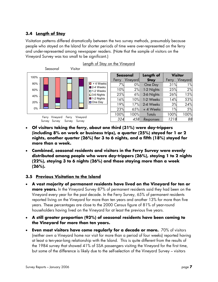## **3.4 Length of Stay**

Visitation patterns differed dramatically between the two survey methods, presumably because people who stayed on the Island for shorter periods of time were over-represented on the ferry and under-represented among newspaper readers. (Note that the sample of visitors on the Vineyard Survey was too small to be significant.)



|       | <b>Seasonal</b> | Length of   | <b>Visitor</b> |          |  |
|-------|-----------------|-------------|----------------|----------|--|
| Ferry | Vineyard        | <b>Stay</b> | Ferry          | Vineyard |  |
| 7%    | $0\%$           | One Day     | 31%            | $1\%$    |  |
| 10%   | 2%              | 1-2 Nights  | 25%            | 2%       |  |
| 25%   | 6%              | 3-6 Nights  | 26%            | 15%      |  |
| 16%   | 10%             | 1-2 Weeks   | 14%            | 53%      |  |
| 19%   | 17%             | 2-4 Weeks   | 3%             | 24%      |  |
| 23%   | 65%             | + 4 Weeks   | 1%             | 5%       |  |
| 100%  | 100%            | Totals      | 100%           | 100%     |  |
| 324   | 458             | Responses   | 1218           | 88       |  |

- **Of visitors taking the ferry, about one third (31%) were day-trippers (including 8% on work or business trips), a quarter (25%) stayed for 1 or 2 nights, another quarter (26%) for 3 to 6 nights, and a fifth (18%) stayed for more than a week.**
- **Combined, seasonal residents and visitors in the Ferry Survey were evenly distributed among people who were day-trippers (26%), staying 1 to 2 nights (22%), staying 3 to 6 nights (26%) and those staying more than a week (26%).**

#### **3.5 Previous Visitation to the Island**

- **A vast majority of permanent residents have lived on the Vineyard for ten or more years.** In the Vineyard Survey 87% of permanent residents said they had been on the Vineyard every year for the past decade. In the Ferry Survey, 65% of permanent residents reported living on the Vineyard for more than ten years and another 13% for more than five years. These percentages are close to the 2000 Census figure of 81% of year-round householders having lived on the Vineyard for at least the previous five years.
- **A still greater proportion (93%) of seasonal residents have been coming to the Vineyard for more than ten years.**
- **Even most visitors have come regularly for a decade or more.** 70% of visitors (neither own a Vineyard home nor visit for more than a period of four weeks) reported having at least a ten-year-long relationship with the Island. This is quite different from the results of the 1984 survey that showed 41% of SSA passengers visiting the Vineyard for the first time, but some of the difference is likely due to the self-selection of the Vineyard Survey – visitors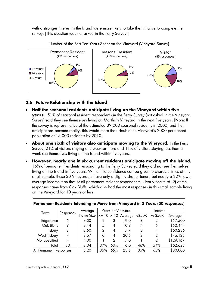with a stronger interest in the Island were more likely to take the initiative to complete the survey. [This question was not asked in the Ferry Survey.]





# **3.6 Future Relationship with the Island**

- **Half the seasonal residents anticipate living on the Vineyard within five years.** 51% of seasonal resident respondents in the Ferry Survey (not asked in the Vineyard Survey) said they see themselves living on Martha's Vineyard in the next five years. [Note: If the survey is representative of the estimated 39,000 seasonal residents in 2000, and their anticipations become reality, this would more than double the Vineyard's 2000 permanent population of 15,000 residents by 2010.]
- **About one sixth of visitors also anticipate moving to the Vineyard.** In the Ferry Survey, 21% of visitors staying one week or more and 11% of visitors staying less than a week see themselves living on the Island within five years.
- **However, nearly one in six current residents anticipate moving off the Island.** 16% of permanent residents responding to the Ferry Survey said they did not see themselves living on the Island in five years. While little confidence can be given to characteristics of this small sample, these 30 Vineyarders have only a slightly shorter tenure but nearly a 22% lower average income than that of all permanent resident respondents. Nearly one-third (9) of the responses came from Oak Bluffs, which also had the most responses in this small sample living on the Vineyard for 10 years or less.

| <b>Permanent Residents Intending to Move from Vineyard in 5 Years (30 responses)</b> |           |           |     |     |                       |         |               |           |  |  |  |
|--------------------------------------------------------------------------------------|-----------|-----------|-----|-----|-----------------------|---------|---------------|-----------|--|--|--|
| Town                                                                                 |           | Average   |     |     | Years on Vineyard     |         | Income        |           |  |  |  |
|                                                                                      | Responses | Home Size |     |     | $\le$ 10 > 10 Average | < \$50K | $=$ $>$ \$50K | Average   |  |  |  |
| Edgartown                                                                            | 5         | 3.00      | 2   | 3   | 19.0                  | 3       | 2             | \$57,500  |  |  |  |
| Oak Bluffs                                                                           | 9         | 2.14      | 5   | 4   | 10.9                  | 4       | 5             | \$52,444  |  |  |  |
| Tisbury                                                                              | 8         | 3.50      | 2   | 4   | 17.7                  | 3       | 4             | \$60,286  |  |  |  |
| <b>West Tisbury</b>                                                                  | 4         | 3.67      | Ω   | 4   | 20.5                  | 2       | 2             | \$46,125  |  |  |  |
| Not Specified                                                                        | 4         | 4.00      |     | 2   | 17.0                  |         | 2             | \$129,167 |  |  |  |
| Totall                                                                               | 30        | 3.04      | 37% | 63% | 16.0                  | 46%     | 54%           | \$62,625  |  |  |  |
| All Permanent Responses                                                              |           | 3.20      | 35% | 65% | 23.5                  | 35%     | 65%           | \$80,000  |  |  |  |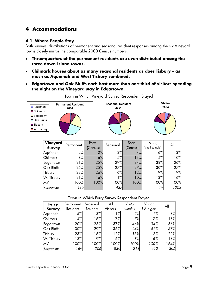# **4 Accommodations**

#### **4.1 Where People Stay**

Both surveys' distributions of permanent and seasonal resident responses among the six Vineyard towns closely mirror the comparable 2000 Census numbers.

- **Three-quarters of the permanent residents are even distributed among the three down-Island towns.**
- **Chilmark houses about as many seasonal residents as does Tisbury as much as Aquinnah and West Tisbury combined.**
- **Edgartown and Oak Bluffs each host more than one-third of visitors spending the night on the Vineyard stay in Edgartown.**

| <b>D</b> Aquinnah                            | <b>Permanent Resident</b><br>2004 | <b>Seasonal Resident</b><br>2004 | <b>Visitor</b><br>2004 |
|----------------------------------------------|-----------------------------------|----------------------------------|------------------------|
| <b>Chilmark</b><br>$\square$ Edgartown       |                                   |                                  |                        |
| <b>□ Oak Bluffs</b>                          |                                   |                                  |                        |
| <b>T</b> isbury<br>$\blacksquare$ W. Tisbury |                                   |                                  |                        |

Town in Which Vineyard Survey Respondent Stayed

| Vineyard<br><b>Survey</b> | Permanent | Perm.<br>(Census) | Seasonal | Seas.<br>(Census) | Visitor<br>[small sample] | All  |
|---------------------------|-----------|-------------------|----------|-------------------|---------------------------|------|
| Aquinnah                  | 2%        | 2%                | 3%       | 4%                | 6%                        | 3%   |
| Chilmark                  | 8%        | 6%                | 14%      | 13%               | 4%                        | 10%  |
| Edgartown                 | 21%       | 25%               | 29%      | 34%               | 38%                       | 26%  |
| Oak Bluffs                | 25%       | 25%               | 27%      | 27%               | 30%                       | 27%  |
| Tisbury                   | 23%       | 26%               | 16%      | 12%               | 9%                        | 19%  |
| W. Tisbury                | 21%       | 16%               | 11%      | 10%               | 13%                       | 16%  |
| MV                        | 100%      | 100%              | 100%     | 100%              | 100%                      | 100% |
| Responses                 | 486       |                   | 437      |                   | 79                        | 1002 |

#### Town in Which Ferry Survey Respondent Stayed

| Ferry         | Permanent | Seasonal | All             | Visitor | Visitor    | All  |
|---------------|-----------|----------|-----------------|---------|------------|------|
| <b>Survey</b> | Resident  | Resident | <b>Visitors</b> | week +  | 1-6 nights |      |
| Aquinnah      | 5%        | 3%       | $1\%$           | 2%      | 1%         | 3%   |
| Chilmark      | 4%        | 16%      | 7%              | 7%      | 7%         | 13%  |
| Edgartown     | 20%       | 28%      | 37%             | 46%     | 34%        | 56%  |
| Oak Bluffs    | 30%       | 29%      | 36%             | 24%     | 41%        | 57%  |
| Tisbury       | 23%       | 16%      | 12%             | 13%     | 12%        | 22%  |
| W. Tisbury    | 18%       | 9%       | 6%              | 8%      | 6%         | 13%  |
| ΜV            | 100%      | 100%     | 100%            | 100%    | 100%       | 164% |
| Responses     | 169       | 306      | 830             | 218     | 612        | 1305 |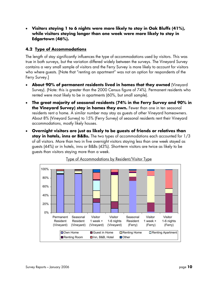• **Visitors staying 1 to 6 nights were more likely to stay in Oak Bluffs (41%), while visitors staying longer than one week were more likely to stay in Edgartown (46%).** 

# **4.2 Type of Accommodations**

The length of stay significantly influences the type of accommodations used by visitors. This was true in both surveys, but the variation differed widely between the surveys. The Vineyard Survey contains a very small sample of visitors and the Ferry Survey is more likely to account for visitors who where guests. [Note that "renting an apartment" was not an option for respondents of the Ferry Survey.]

- **About 90% of permanent residents lived in homes that they owned** (Vineyard Survey). (Note: this is greater than the 2000 Census figure of 74%). Permanent residents who rented were most likely to be in apartments (60%, but small sample).
- **The great majority of seasonal residents (74% in the Ferry Survey and 90% in the Vineyard Survey) stay in homes they own.** Fewer than one in ten seasonal residents rent a home. A similar number may stay as guests of other Vineyard homeowners. About 8% (Vineyard Survey) to 15% (Ferry Survey) of seasonal residents rent their Vineyard accommodations, mostly likely houses.
- **Overnight visitors are just as likely to be guests of friends or relatives than stay in hotels, inns or B&Bs.** The two types of accommodations each accounted for 1/3 of all visitors. More than two in five overnight visitors staying less than one week stayed as guests (44%) or in hotels, inns or B&Bs (43%). Short-term visitors are twice as likely to be guests than visitors staying more than a week.



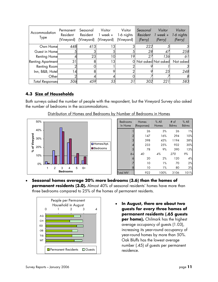| Accommodation<br>Type    | Permanent<br>Resident<br>(Vineyard) | Seasonal<br>Resident<br>(Vineyard) | Visitor<br>$1$ week $+$<br>(Vineyard) | Visitor<br>1-6 nights<br>(Vineyard) | Seasonal<br>Resident<br>(Ferry) | Visitor<br>$1$ week $+$<br>(Ferry) | Visitor<br>1-6 nights<br>(Ferry) |
|--------------------------|-------------------------------------|------------------------------------|---------------------------------------|-------------------------------------|---------------------------------|------------------------------------|----------------------------------|
| Own Home                 | 448                                 | 413                                | l 3                                   |                                     | 222                             |                                    |                                  |
| Guest in Homel           |                                     |                                    |                                       |                                     | 28                              | 47                                 | 258                              |
| <b>Renting Home</b>      |                                     | 23                                 | 10                                    | 19                                  | 27                              | 136                                | 61                               |
| <b>Renting Apartment</b> | 31                                  |                                    | 13                                    |                                     |                                 | Not asked Not asked                | Not asked                        |
| Renting Room             |                                     |                                    |                                       |                                     |                                 |                                    |                                  |
| Inn, B&B, Hotel          | 14                                  |                                    |                                       |                                     |                                 | 25                                 | 248                              |
| Other                    |                                     |                                    |                                       |                                     |                                 |                                    | 8                                |
| <b>Total Responses</b>   | 506                                 | 459                                | 55                                    | 31                                  | 302                             | 221                                | 583                              |

## **4.3 Size of Households**

Both surveys asked the number of people with the respondent, but the Vineyard Survey also asked the number of bedrooms in the accommodations.



| Distribution of Homes and Bedrooms by Number of Bedrooms in Homes |  |  |
|-------------------------------------------------------------------|--|--|
|                                                                   |  |  |

| <b>Bedrooms</b> | Homes       | $%$ All | # of                         | $%$ All |
|-----------------|-------------|---------|------------------------------|---------|
| In Home         | (Responses) | Homes   | <b>Bdrms</b><br><b>Bdrms</b> |         |
|                 | 26          | 3%      | 26                           | 1%      |
| 2               | 147         | 16%     | 294                          | 10%     |
| 3               | 398         | 43%     | 1194                         | 38%     |
| 4               | 233         | 25%     | 932                          | 30%     |
| 5               | 78          | 9%      | 390                          | 13%     |
| $6+$            | 40          | 4%      | 270                          | 9%      |
| 6               | 20          | 2%      | 120                          | 4%      |
|                 | 10          | $1\%$   | 70                           | 2%      |
| 8               | 10          | $1\%$   | 80                           | 3%      |
| <b>Total MV</b> | 922         | 100%    | 3106                         | 101%    |

• **Seasonal homes average 20% more bedrooms (3.6) than the homes of permanent residents (3.0).** Almost 40% of seasonal residents' homes have more than three bedrooms compared to 25% of the homes of permanent residents.



• **In August, there are about two guests for every three homes of permanent residents (.65 guests per home).** Chilmark has the highest average occupancy of guests (1.03), increasing its year-round occupancy of year-round homes by more than 50%. Oak Bluffs has the lowest average number (.45) of guests per permanent residence.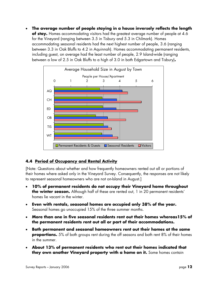• **The average number of people staying in a house inversely reflects the length of stay.** Homes accommodating visitors had the greatest average number of people at 4.6 for the Vineyard (ranging between 3.5 in Tisbury and 5.3 in Chilmark). Homes accommodating seasonal residents had the next highest number of people, 3.6 (ranging between 3.3 in Oak Bluffs to 4.2 in Aquinnah). Homes accommodating permanent residents, including guest, on average had the least number of people, 2.9 Island-wide (ranging between a low of 2.5 in Oak Bluffs to a high of 3.0 in both Edgartown and Tisbury)**.** 



# **4.4 Period of Occupancy and Rental Activity**

[Note: Questions about whether and how frequently homeowners rented out all or portions of their homes where asked only in the Vineyard Survey. Consequently, the responses are not likely to represent seasonal homeowners who are not on-Island in August.]

- **10% of permanent residents do not occupy their Vineyard home throughout the winter season.** Although half of these are rented out, 1 in 20 permanent residents' homes lie vacant in the winter.
- **Even with rentals, seasonal homes are occupied only 38% of the year.**  Seasonal homes go unoccupied 15% of the three summer months.
- **More than one in five seasonal residents rent out their homes whereas15% of the permanent residents rent out all or part of their accommodations.**
- **Both permanent and seasonal homeowners rent out their homes at the same proportions.** 5% of both groups rent during the off seasons and both rent 8% of their homes in the summer.
- **About 13% of permanent residents who rent out their homes indicated that they own another Vineyard property with a home on it.** Some homes contain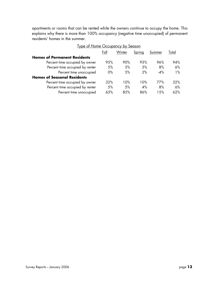apartments or rooms that can be rented while the owners continue to occupy the home. This explains why there is more than 100% occupancy (negative time unoccupied) of permanent residents' homes in the summer.

| <u>I ype or Home Occupancy by Season</u> |       |        |        |                |        |  |  |  |
|------------------------------------------|-------|--------|--------|----------------|--------|--|--|--|
|                                          | Fall  | Winter | Spring | S <u>ummer</u> | Total  |  |  |  |
| <b>Homes of Permanent Residents</b>      |       |        |        |                |        |  |  |  |
| Percent time occupied by owner           | 95%   | 90%    | 93%    | 96%            | 94%    |  |  |  |
| Percent time occupied by renter          | 5%    | 5%     | 5%     | 8%             | 6%     |  |  |  |
| Percent time unoccupied                  | $0\%$ | 5%     | 2%     | $-4\%$         | $1\%$  |  |  |  |
| <b>Homes of Seasonal Residents</b>       |       |        |        |                |        |  |  |  |
| Percent time occupied by owner           | 32%   | 10%    | 10%    | 77%            | 32%    |  |  |  |
| Percent time occupied by renter          | 5%    | 5%     | 4%     | 8%             | $6\%$  |  |  |  |
| Percent time unoccupied                  | 63%   | 8.5%   | 86%    | 1.5%           | $62\%$ |  |  |  |

# Type of Home Occupancy by Season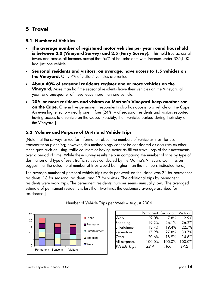# **5 Travel**

#### **5.1 Number of Vehicles**

- **The average number of registered motor vehicles per year round household is between 2.0 (Vineyard Survey) and 2.5 (Ferry Survey).** This held true across all towns and across all incomes except that 65% of householders with incomes under \$25,000 had just one vehicle.
- **Seasonal residents and visitors, on average, have access to 1.5 vehicles on the Vineyard.** Only 7% of visitors' vehicles are rented.
- **About 40% of seasonal residents register one or more vehicles on the Vineyard.** More than half the seasonal residents leave their vehicles on the Vineyard all year, and one-quarter of these leave more than one vehicle.
- **20% or more residents and visitors on Martha's Vineyard keep another car on the Cape.** One in five permanent respondents also has access to a vehicle on the Cape. An even higher ratio – nearly one in four (24%) – of seasonal residents and visitors reported having access to a vehicle on the Cape. [Possibly, their vehicles parked during their stay on the Vineyard.]

## **5.2 Volume and Purpose of On-Island Vehicle Trips**

[Note that the surveys asked for information about the numbers of vehicular trips, for use in transportation planning; however, this methodology cannot be considered as accurate as other techniques such as using traffic counters or having motorists fill out travel logs of their movements over a period of time. While these survey results help in comparing the number of trips by type of destination and type of user, traffic surveys conducted by the Martha's Vineyard Commission suggest that the actual total number of trips would be higher than the numbers indicated here.]

The average number of personal vehicle trips made per week on the Island was 22 for permanent residents, 18 for seasonal residents, and 17 for visitors. The additional trips by permanent residents were work trips. The permanent residents' number seems unusually low. [The averaged estimate of permanent residents is less than two-thirds the customary average ascribed for residences.]



#### Number of Vehicle Trips per Week – August 2004

|                     | Permanent Seasonal |        | <b>Visitors</b> |
|---------------------|--------------------|--------|-----------------|
| Work                | 29.0%              | 7.8%   | 2.9%            |
| Shopping            | 19.2%              | 26.1%  | 26.2%           |
| Entertainment       | 13.4%              | 19.4%  | 22.7%           |
| Recreation          | 17.9%              | 27.8%  | 33.7%           |
| Other               | 20.6%              | 18.9%  | 14.6%           |
| All purposes        | 100.0%             | 100.0% | 100.0%          |
| <b>Weekly Trips</b> | 22.4               | 18.0   | 17.2            |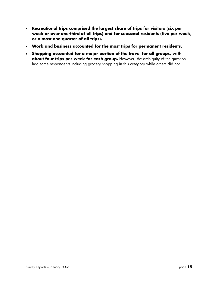- **Recreational trips comprised the largest share of trips for visitors (six per week or over one-third of all trips) and for seasonal residents (five per week, or almost one-quarter of all trips).**
- **Work and business accounted for the most trips for permanent residents.**
- **Shopping accounted for a major portion of the travel for all groups, with about four trips per week for each group.** However, the ambiguity of the question had some respondents including grocery shopping in this category while others did not.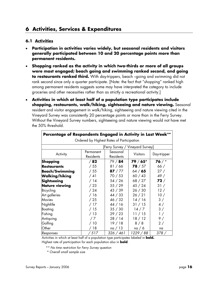# **6 Activities, Services & Expenditures**

#### **6.1 Activities**

- **Participation in activities varies widely, but seasonal residents and visitors generally participated between 10 and 20 percentage points more than permanent residents.**
- **Shopping ranked as the activity in which two-thirds or more of all groups were most engaged; beach going and swimming ranked second, and going to restaurants ranked third.** With day-trippers, beach –going and swimming did not rank second since only a quarter participate. [Note: the fact that "shopping" ranked high among permanent residents suggests some may have interpreted the category to include groceries and other necessities rather than as strictly a recreational activity.]
- **Activities in which at least half of a population type participates include shopping, restaurants, walk/hiking, sightseeing and nature viewing.** Seasonal resident and visitor engagement in walk/hiking, sightseeing and nature viewing cited in the Vineyard Survey was consistently 20 percentage points or more than in the Ferry Survey. Without the Vineyard Survey numbers, sightseeing and nature viewing would not have met the 50% threshold.

| Percentage of Respondents Engaged in Activity in Last Week** |                  |           |                 |             |  |  |
|--------------------------------------------------------------|------------------|-----------|-----------------|-------------|--|--|
| Ordered by Highest Rates of Participation                    |                  |           |                 |             |  |  |
| [Ferry Survey / Vineyard Survey]                             |                  |           |                 |             |  |  |
| Activity                                                     | Permanent        | Seasonal  | <b>Visitors</b> | Day-tripper |  |  |
|                                                              | <b>Residents</b> | Residents |                 |             |  |  |
| Shopping                                                     | /82              | 79/84     | $79/65*$        | 76 $/$ *    |  |  |
| <b>Restaurants</b>                                           | /55              | 81/66     | 78/57           | 66/         |  |  |
| <b>Beach/Swimming</b>                                        | /55              | 87/77     | 64/65           | 27/         |  |  |
| <b>Walking/hiking</b>                                        | /41              | 70 / 53   | 60/43           | 49/         |  |  |
| Sightseeing                                                  | /14              | 54/26     | 68 / 27         | 72/         |  |  |
| <b>Nature viewing</b>                                        | /23              | 55/29     | 45/24           | 31/         |  |  |
| Bicycling                                                    | /24              | 43 / 39   | 26/30           | 12/         |  |  |
| Art galleries                                                | /16              | 44 / 33   | 26/21           | 10/         |  |  |
| Movies                                                       | /25              | 46 / 32   | 14/16           | 3/          |  |  |
| Nightlife                                                    | /17              | 44/16     | 31 / 15         | 4/          |  |  |
| Boating                                                      | /15              | 35/30     | 14/7            | 3/          |  |  |
| Fishing                                                      | /13              | 29/23     | 11/15           | 1/          |  |  |
| Antiquing                                                    | /7               | 28/14     | 18/12           | 9/          |  |  |
| Golfing                                                      | / 10             | 19/18     | 8/8             | 2/          |  |  |
| Other                                                        | / 18             | na / 13   | na / 6          | na          |  |  |
| Responses                                                    | 517'             | 326/461   | 1229 / 88       | 378/        |  |  |

Activities in which at least half of a population type participates labeled in **bold.** Highest rate of participation for each population also in **bold**.

 *\*\* No time restriction for Ferry Survey question* 

 *\* Overall small sample size*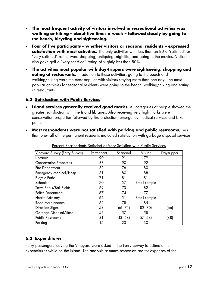- **The most frequent activity of visitors involved in recreational activities was walking or hiking – about five times a week – followed closely by going to the beach, bicycling and sightseeing.**
- **Four of five participants whether visitors or seasonal residents expressed satisfaction with most activities.** The only activities with less than an 80% "satisfied" or "very satisfied" rating were shopping, antiquing, nightlife, and going to the movies. Visitors also gave golf a "very satisfied" rating of slightly less than 80%.
- **The activities most popular with day-trippers were sightseeing, shopping and eating at restaurants.** In addition to these activities, going to the beach and walking/hiking were the most popular with visitors staying more than one day. The most popular activities for seasonal residents were going to the beach, walking/hiking and eating at restaurants.

## **6.2 Satisfaction with Public Services**

- **Island services generally received good marks.** All categories of people showed the greatest satisfaction with the Island libraries. Also receiving very high marks were conservation properties followed by fire protection, emergency medical services and bike paths.
- **Most respondents were not satisfied with parking and public restrooms.** Less than one-half of the permanent residents indicated satisfaction with garbage disposal services.

| Vineyard Survey (Ferry Survey) | Permanent | Seasonal | Visitor      | Day-tripper |
|--------------------------------|-----------|----------|--------------|-------------|
| Libraries                      | 90        | 91       | 79           |             |
| <b>Conservation Properties</b> | 88        | 90       | 92           |             |
| <b>Fire Department</b>         | 82        | 76       | 80           |             |
| <b>Emergency Medical/Hosp</b>  | 81        | 80       | 88           |             |
| <b>Bicycle Paths</b>           | 71        | 81       | 81           |             |
| Schools                        | 70        | 57       | Small sample |             |
| Town Parks/Ball Fields         | 69        | 73       | 82           |             |
| Police Department              | 67        | 74       | 77           |             |
| <b>Health Advisory</b>         | 66        | 51       | Small sample |             |
| Road Maintenance               | 62        | 78       | 85           |             |
| <b>Direction Signs</b>         | 53        | 66 (71)  | 82 (70)      | (66)        |
| Garbage Disposal/Litter        | 46        | 57       | 58           |             |
| Public Restrooms               | 31        | 43 (54)  | 57 (54)      | (48)        |
| Parking                        | 15        | 23       | 30           |             |

Percent Respondents Satisfied or Very Satisfied with Public Services

# **6.3 Expenditures**

Ferry passengers leaving the Vineyard were asked in the Ferry Survey to estimate their expenditures while on the island. The analysis assumes responses are for expenses of the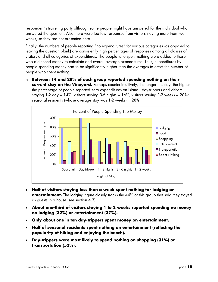respondent's traveling party although some people might have answered for the individual who answered the question. Also there were too few responses from visitors staying more than two weeks, so they are not presented here.

Finally, the numbers of people reporting "no expenditures" for various categories (as opposed to leaving the question blank) are consistently high percentages of responses among all classes of visitors and all categories of expenditures. The people who spent nothing were added to those who did spend money to calculate and overall average expenditures. Thus, expenditures by people spending money had to be significantly higher than the averages to offset the number of people who spent nothing.

o **Between 14 and 28% of each group reported spending nothing on their current stay on the Vineyard.** Perhaps counter-intuitively, the longer the stay, the higher the percentage of people reported zero expenditures on Island: day-trippers and visitors staying 1-2 day =  $14\%$ ; visitors staying 3-6 nights =  $16\%$ ; visitors staying 1-2 weeks =  $20\%$ ; seasonal residents (whose average stay was 1-2 weeks) = 28%.



- **Half of visitors staying less than a week spent nothing for lodging or entertainment.** The lodging figure closely tracks the 44% of this group that said they stayed as guests in a house (see section 4.3).
- **About one-third of visitors staying 1 to 2 weeks reported spending no money on lodging (32%) or entertainment (37%).**
- **Only about one in ten day-trippers spent money on entertainment.**
- **Half of seasonal residents spent nothing on entertainment (reflecting the popularity of hiking and enjoying the beach).**
- **Day-trippers were most likely to spend nothing on shopping (31%) or transportation (53%).**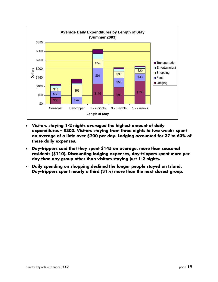

- **Visitors staying 1-2 nights averaged the highest amount of daily expenditures – \$300. Visitors staying from three nights to two weeks spent an average of a little over \$200 per day. Lodging accounted for 37 to 60% of these daily expenses.**
- **Day-trippers said that they spent \$145 on average, more than seasonal residents (\$110). Discounting lodging expenses, day-trippers spent more per day than any group other than visitors staying just 1-2 nights.**
- **Daily spending on shopping declined the longer people stayed on Island. Day-trippers spent nearly a third (31%) more than the next closest group.**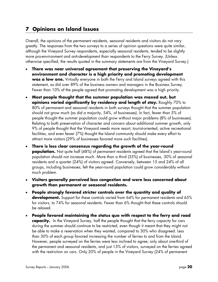# **7 Opinions on Island Issues**

Overall, the opinions of the permanent residents, seasonal residents and visitors do not vary greatly. The responses from the two surveys to a series of opinion questions were quite similar, although the Vineyard Survey respondents, especially seasonal residents, tended to be slightly more pro-environment and anti-development than respondents to the Ferry Survey. (Unless otherwise specified, the results quoted in the summary statements are from the Vineyard Survey.)

- **There was near universal agreement that preserving the Vineyard's environment and character is a high priority and promoting development was a low one.** Virtually everyone in both the Ferry and Island surveys agreed with this statement, as did over 89% of the business owners and managers in the Business Survey. Fewer than 10% of the people agreed that promoting development was a high priority.
- **Most people thought that the summer population was maxed out, but opinions varied significantly by residency and length of stay.** Roughly 70% to 80% of permanent and seasonal residents in both surveys thought that the summer population should not grow much (as did a majority, 54%, of businesses). In fact, fewer than 5% of people thought the summer population could grow without major problems (8% of businesses). Relating to both preservation of character and concern about additional summer growth, only 9% of people thought that the Vineyard needs more resort, tourist-oriented, active recreational facilities, and even fewer (7%) thought the Island community should make every effort to attract more visitors (29% of businesses favored more such facilities).
- **There is less clear consensus regarding the growth of the year-round population.** Not quite half (48%) of permanent residents agreed that the Island's year-round population should not increase much. More than a third (35%) of businesses, 30% of seasonal residents and a quarter (24%) of visitors agreed. Conversely, between 15 and 24% of all groups, including businesses, felt the year-round population could grow considerably without much problem.
- **Visitors generally perceived less congestion and were less concerned about growth than permanent or seasonal residents.**
- **People strongly favored stricter controls over the quantity and quality of development.** Support for these controls varied from 64% for permanent residents and 65% for visitors, to 74% for seasonal residents. Fewer than 6% thought that these controls should be relaxed.
- **People favored maintaining the status quo with respect to the ferry and road capacity.** In the Vineyard Survey, half the people thought that the ferry capacity for cars during the summer should continue to be restricted, even though it meant that they might not be able to make a reservation when they wanted, compared to 30% who disagreed. Less than 30% of each group favored increasing the number of ferries to and from the Island. However, people surveyed on the ferries were less inclined to agree; only about one-third of the permanent and seasonal residents, and just 13% of visitors, surveyed on the ferries agreed with the restriction on cars. Only 20% of people in the Vineyard Survey (24% of permanent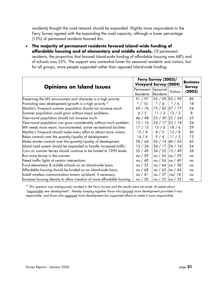residents) thought the road network should be expanded. Slightly more respondents to the Ferry Survey agreed with the expanding the road capacity, although a lower percentage (15%) of permanent residents favored this.

• **The majority of permanent residents favored Island-wide funding of affordable housing and of elementary and middle schools.** Of permanent residents, the proportion that favored Island-wide funding of affordable housing was 68% and of schools was 55%. The support was somewhat lower for seasonal residents and visitors, but for all groups, more people supported rather than opposed Island-wide funding.

| <b>Opinions on Island Issues</b>                                       |                  | Ferry Survey (2003)/          |              |                                  |  |
|------------------------------------------------------------------------|------------------|-------------------------------|--------------|----------------------------------|--|
|                                                                        |                  | <b>Vineyard Survey (2004)</b> |              | <b>Business</b><br><b>Survey</b> |  |
|                                                                        |                  | Permanent Seasonal            | Visitors     | (2003)                           |  |
|                                                                        | <b>Residents</b> | <b>Residents</b>              |              |                                  |  |
| Preserving the MV environment and character is a high priority         | 91/97            | 95 / 99 95 / 99               |              | 89                               |  |
| Promoting new development/growth is a high priority *                  | $*$ / 10         | $*$ / 4                       | $*/6$        | 18                               |  |
| Martha's Vineyard summer population should not increase much.          | 69/76            | 73 / 82 57 / 77               |              | 54                               |  |
| Summer population could grow without major problems.                   | $6/5$            | 11/3                          | 12/2         | 8                                |  |
| Year-round population should not increase much                         | 46/48            | 25 / 30 22 / 24               |              | 35                               |  |
| Year-round population can grow considerably without much problem.      | 15/16            | 24/17                         | 23/18        | 24                               |  |
| MV needs more resort, tourist-oriented, active recreational facilities | 17/13            | 15/6                          | 18/6         | 29                               |  |
| Martha's Vineyard should make every effort to attract more visitors.   | 15/8             | 8/5                           | 13/8         | 30                               |  |
| Relax controls over the quantity/quality of development.               | 14/6             | $9/4$                         | 11/5         | 12                               |  |
| Make stricter controls over the quantity/quality of development.       | 58 / 64          | 56 / 74 40 / 65               |              | 43                               |  |
| Island road system should be expanded to handle increased traffic.     | 15/24            | 24/17                         | 26/14        | 24                               |  |
| Cars on summer ferries should continue to be limited to 1995 levels.   | 35/49            | $34 / 52$ 13 / 49             |              | 38                               |  |
| Run more ferries in the summer.                                        | na / 29          | na / 26                       | $\ln a / 29$ | na                               |  |
| Need traffic lights at certain intersections                           | na / 40          | na / 34  na / 49              |              | na                               |  |
| Fund elementary & middle schools on an Island-wide basis.              | na / 55          | $na / 44$   na $/ 38$         |              | na                               |  |
| Affordable housing should be funded on an Island-wide basis.           | na / 68          | na / 65                       | $\ln a / 44$ | na                               |  |
| Install wireless communication towers up-Island, if necessary.         | na / 41          | na / 37                       | na/18        | na                               |  |
| Increase housing density to allow creation of more affordable housing. | na / 56          | na / 33                       | na / 35      | na                               |  |

*\* This question was ambiguously worded in the Ferry Survey and the results were set aside. (It asked about "responsible new development", thereby lumping together those who favored more development provided it was responsible, and those who <u>opposed</u> more development but supported efforts to make it more responsible).*